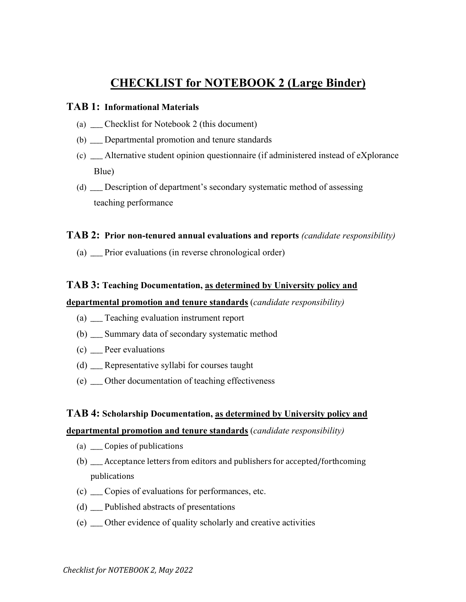# **CHECKLIST for NOTEBOOK 2 (Large Binder)**

#### **TAB 1: Informational Materials**

- (a) \_\_\_\_ Checklist for Notebook 2 (this document)
- (b) \_\_\_\_ Departmental promotion and tenure standards
- (c) \_\_\_\_ Alternative student opinion questionnaire (if administered instead of eXplorance Blue)
- (d) \_\_\_\_ Description of department's secondary systematic method of assessing teaching performance

# **TAB 2: Prior non-tenured annual evaluations and reports** *(candidate responsibility)*

(a) \_\_\_\_ Prior evaluations (in reverse chronological order)

# **TAB 3: Teaching Documentation, as determined by University policy and**

#### **departmental promotion and tenure standards** (*candidate responsibility)*

- (a) \_\_\_\_ Teaching evaluation instrument report
- (b) \_\_\_\_ Summary data of secondary systematic method
- (c) \_\_\_\_ Peer evaluations
- (d) \_\_\_\_ Representative syllabi for courses taught
- (e) \_\_\_\_ Other documentation of teaching effectiveness

#### **TAB 4: Scholarship Documentation, as determined by University policy and**

#### **departmental promotion and tenure standards** (*candidate responsibility)*

- (a) \_\_\_\_ Copies of publications
- (b) \_\_\_\_ Acceptance letters from editors and publishers for accepted/forthcoming publications
- (c) \_\_\_\_ Copies of evaluations for performances, etc.
- (d) \_\_\_\_ Published abstracts of presentations
- (e) \_\_\_\_ Other evidence of quality scholarly and creative activities